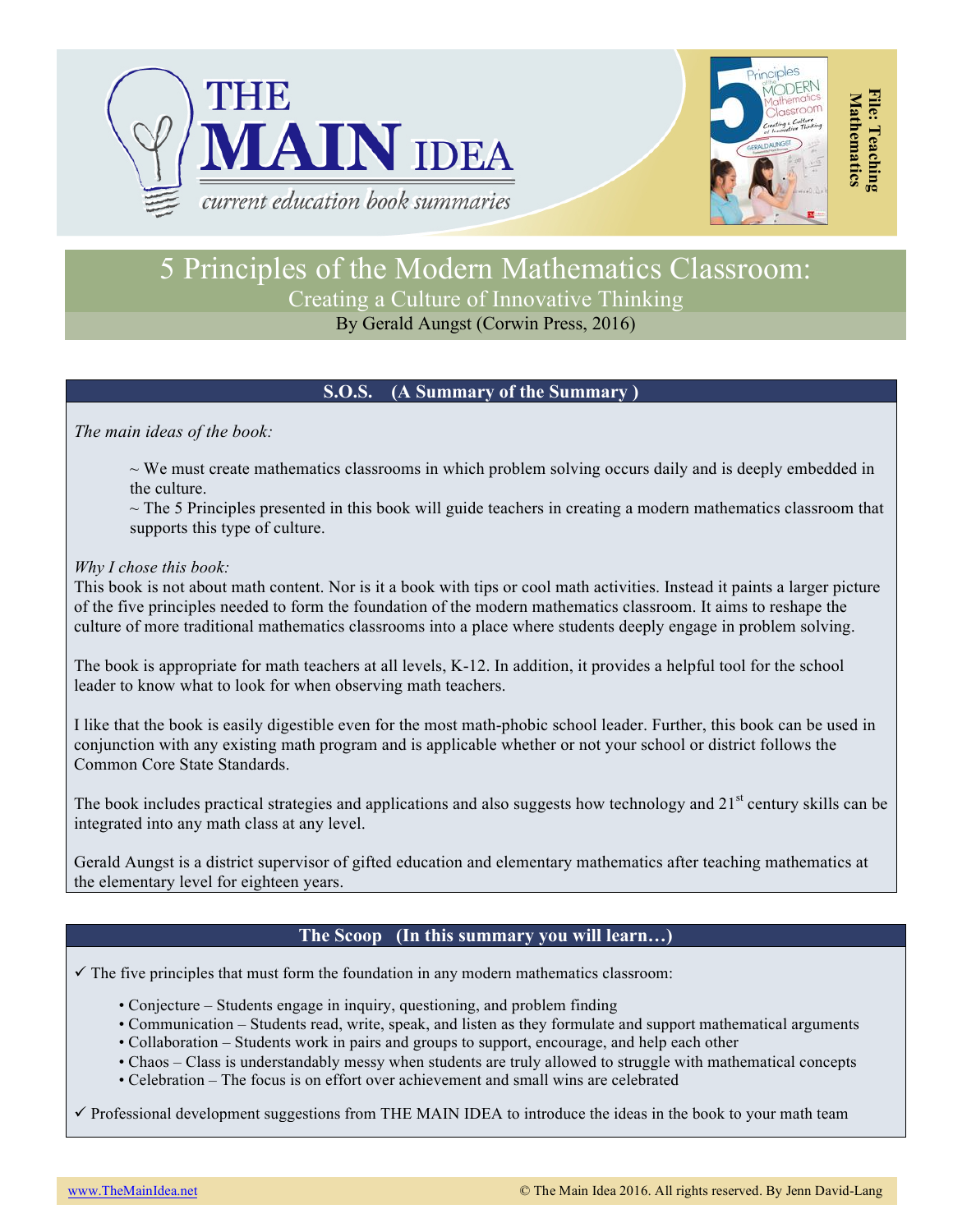



**File: Teaching** 

File: Teaching

# 5 Principles of the Modern Mathematics Classroom: Creating a Culture of Innovative Thinking

# By Gerald Aungst (Corwin Press, 2016)

## **S.O.S. (A Summary of the Summary )**

*The main ideas of the book:*

 $\sim$  We must create mathematics classrooms in which problem solving occurs daily and is deeply embedded in the culture.

 $\sim$  The 5 Principles presented in this book will guide teachers in creating a modern mathematics classroom that supports this type of culture.

### *Why I chose this book:*

This book is not about math content. Nor is it a book with tips or cool math activities. Instead it paints a larger picture of the five principles needed to form the foundation of the modern mathematics classroom. It aims to reshape the culture of more traditional mathematics classrooms into a place where students deeply engage in problem solving.

The book is appropriate for math teachers at all levels, K-12. In addition, it provides a helpful tool for the school leader to know what to look for when observing math teachers.

I like that the book is easily digestible even for the most math-phobic school leader. Further, this book can be used in conjunction with any existing math program and is applicable whether or not your school or district follows the Common Core State Standards.

The book includes practical strategies and applications and also suggests how technology and  $21<sup>st</sup>$  century skills can be integrated into any math class at any level.

Gerald Aungst is a district supervisor of gifted education and elementary mathematics after teaching mathematics at the elementary level for eighteen years.

## **The Scoop (In this summary you will learn…)**

 $\checkmark$  The five principles that must form the foundation in any modern mathematics classroom:

- Conjecture Students engage in inquiry, questioning, and problem finding
- Communication Students read, write, speak, and listen as they formulate and support mathematical arguments
- Collaboration Students work in pairs and groups to support, encourage, and help each other
- Chaos Class is understandably messy when students are truly allowed to struggle with mathematical concepts
- Celebration The focus is on effort over achievement and small wins are celebrated

 $\checkmark$  Professional development suggestions from THE MAIN IDEA to introduce the ideas in the book to your math team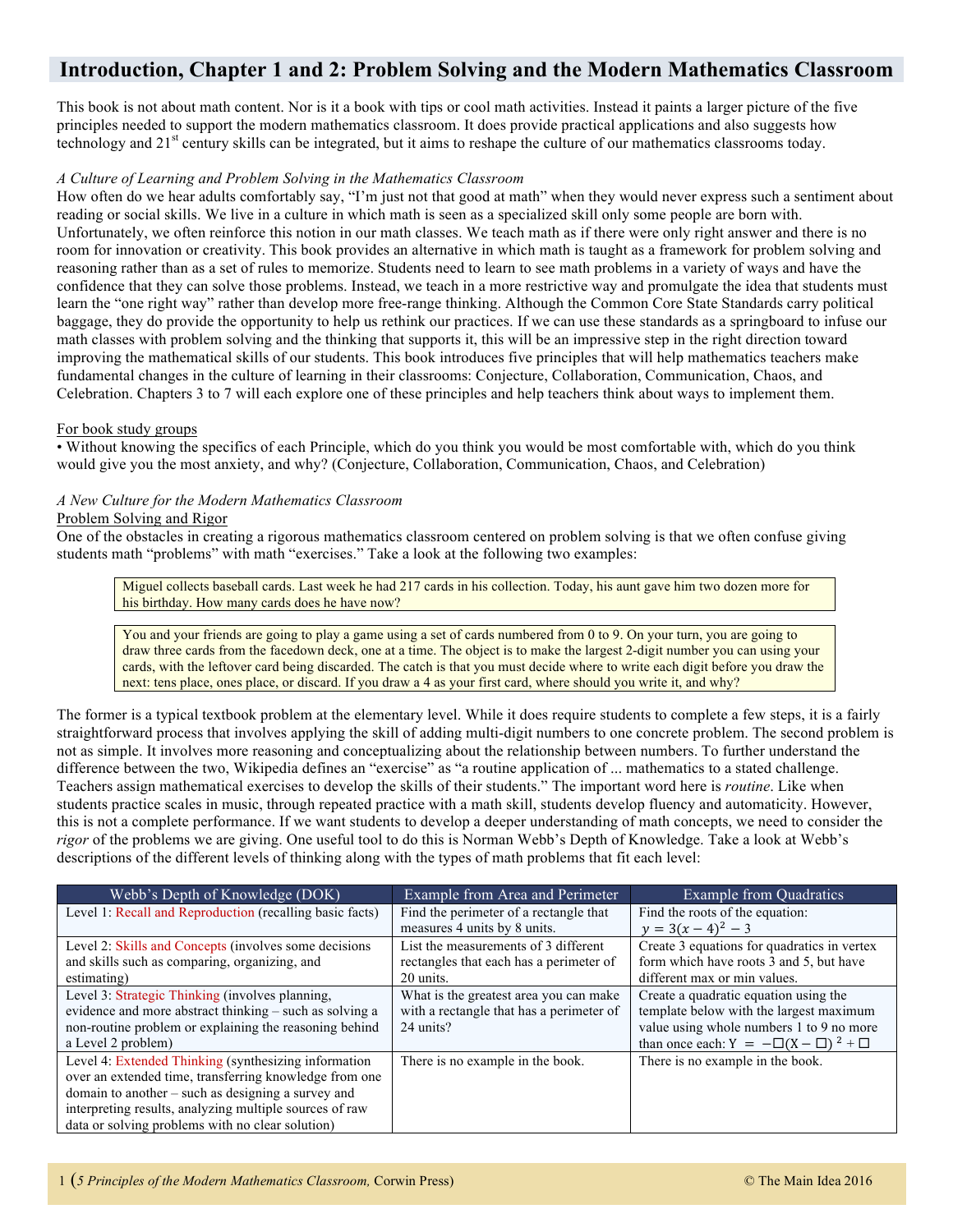# **Introduction, Chapter 1 and 2: Problem Solving and the Modern Mathematics Classroom**

This book is not about math content. Nor is it a book with tips or cool math activities. Instead it paints a larger picture of the five principles needed to support the modern mathematics classroom. It does provide practical applications and also suggests how technology and 21<sup>st</sup> century skills can be integrated, but it aims to reshape the culture of our mathematics classrooms today.

#### *A Culture of Learning and Problem Solving in the Mathematics Classroom*

How often do we hear adults comfortably say, "I'm just not that good at math" when they would never express such a sentiment about reading or social skills. We live in a culture in which math is seen as a specialized skill only some people are born with. Unfortunately, we often reinforce this notion in our math classes. We teach math as if there were only right answer and there is no room for innovation or creativity. This book provides an alternative in which math is taught as a framework for problem solving and reasoning rather than as a set of rules to memorize. Students need to learn to see math problems in a variety of ways and have the confidence that they can solve those problems. Instead, we teach in a more restrictive way and promulgate the idea that students must learn the "one right way" rather than develop more free-range thinking. Although the Common Core State Standards carry political baggage, they do provide the opportunity to help us rethink our practices. If we can use these standards as a springboard to infuse our math classes with problem solving and the thinking that supports it, this will be an impressive step in the right direction toward improving the mathematical skills of our students. This book introduces five principles that will help mathematics teachers make fundamental changes in the culture of learning in their classrooms: Conjecture, Collaboration, Communication, Chaos, and Celebration. Chapters 3 to 7 will each explore one of these principles and help teachers think about ways to implement them.

#### For book study groups

• Without knowing the specifics of each Principle, which do you think you would be most comfortable with, which do you think would give you the most anxiety, and why? (Conjecture, Collaboration, Communication, Chaos, and Celebration)

#### *A New Culture for the Modern Mathematics Classroom*

#### Problem Solving and Rigor

One of the obstacles in creating a rigorous mathematics classroom centered on problem solving is that we often confuse giving students math "problems" with math "exercises." Take a look at the following two examples:

Miguel collects baseball cards. Last week he had 217 cards in his collection. Today, his aunt gave him two dozen more for his birthday. How many cards does he have now?

You and your friends are going to play a game using a set of cards numbered from 0 to 9. On your turn, you are going to draw three cards from the facedown deck, one at a time. The object is to make the largest 2-digit number you can using your cards, with the leftover card being discarded. The catch is that you must decide where to write each digit before you draw the next: tens place, ones place, or discard. If you draw a 4 as your first card, where should you write it, and why?

The former is a typical textbook problem at the elementary level. While it does require students to complete a few steps, it is a fairly straightforward process that involves applying the skill of adding multi-digit numbers to one concrete problem. The second problem is not as simple. It involves more reasoning and conceptualizing about the relationship between numbers. To further understand the difference between the two, Wikipedia defines an "exercise" as "a routine application of ... mathematics to a stated challenge. Teachers assign mathematical exercises to develop the skills of their students." The important word here is *routine*. Like when students practice scales in music, through repeated practice with a math skill, students develop fluency and automaticity. However, this is not a complete performance. If we want students to develop a deeper understanding of math concepts, we need to consider the *rigor* of the problems we are giving. One useful tool to do this is Norman Webb's Depth of Knowledge. Take a look at Webb's descriptions of the different levels of thinking along with the types of math problems that fit each level:

| Webb's Depth of Knowledge (DOK)                          | Example from Area and Perimeter          | <b>Example from Quadratics</b>                 |
|----------------------------------------------------------|------------------------------------------|------------------------------------------------|
| Level 1: Recall and Reproduction (recalling basic facts) | Find the perimeter of a rectangle that   | Find the roots of the equation:                |
|                                                          | measures 4 units by 8 units.             | $y = 3(x - 4)^2 - 3$                           |
| Level 2: Skills and Concepts (involves some decisions)   | List the measurements of 3 different     | Create 3 equations for quadratics in vertex    |
| and skills such as comparing, organizing, and            | rectangles that each has a perimeter of  | form which have roots 3 and 5, but have        |
| estimating)                                              | 20 units.                                | different max or min values.                   |
| Level 3: Strategic Thinking (involves planning,          | What is the greatest area you can make   | Create a quadratic equation using the          |
| evidence and more abstract thinking – such as solving a  | with a rectangle that has a perimeter of | template below with the largest maximum        |
| non-routine problem or explaining the reasoning behind   | 24 units?                                | value using whole numbers 1 to 9 no more       |
| a Level 2 problem)                                       |                                          | than once each: $Y = -\Box(X - \Box)^2 + \Box$ |
| Level 4: Extended Thinking (synthesizing information     | There is no example in the book.         | There is no example in the book.               |
| over an extended time, transferring knowledge from one   |                                          |                                                |
| domain to another $-$ such as designing a survey and     |                                          |                                                |
| interpreting results, analyzing multiple sources of raw  |                                          |                                                |
| data or solving problems with no clear solution)         |                                          |                                                |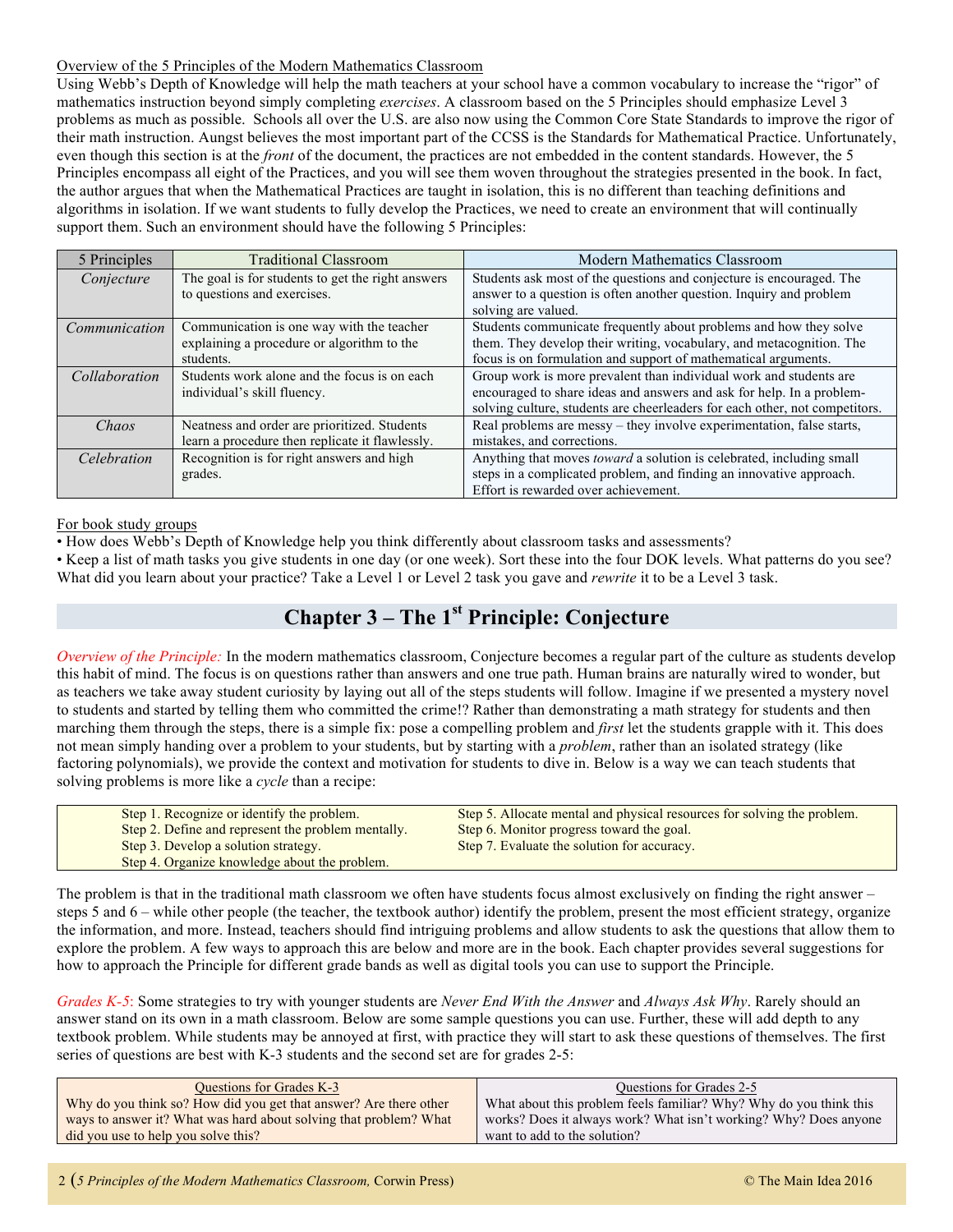#### Overview of the 5 Principles of the Modern Mathematics Classroom

Using Webb's Depth of Knowledge will help the math teachers at your school have a common vocabulary to increase the "rigor" of mathematics instruction beyond simply completing *exercises*. A classroom based on the 5 Principles should emphasize Level 3 problems as much as possible. Schools all over the U.S. are also now using the Common Core State Standards to improve the rigor of their math instruction. Aungst believes the most important part of the CCSS is the Standards for Mathematical Practice. Unfortunately, even though this section is at the *front* of the document, the practices are not embedded in the content standards. However, the 5 Principles encompass all eight of the Practices, and you will see them woven throughout the strategies presented in the book. In fact, the author argues that when the Mathematical Practices are taught in isolation, this is no different than teaching definitions and algorithms in isolation. If we want students to fully develop the Practices, we need to create an environment that will continually support them. Such an environment should have the following 5 Principles:

| 5 Principles  | <b>Traditional Classroom</b>                      | <b>Modern Mathematics Classroom</b>                                         |
|---------------|---------------------------------------------------|-----------------------------------------------------------------------------|
| Conjecture    | The goal is for students to get the right answers | Students ask most of the questions and conjecture is encouraged. The        |
|               | to questions and exercises.                       | answer to a question is often another question. Inquiry and problem         |
|               |                                                   | solving are valued.                                                         |
| Communication | Communication is one way with the teacher         | Students communicate frequently about problems and how they solve           |
|               | explaining a procedure or algorithm to the        | them. They develop their writing, vocabulary, and metacognition. The        |
|               | students.                                         | focus is on formulation and support of mathematical arguments.              |
| Collaboration | Students work alone and the focus is on each      | Group work is more prevalent than individual work and students are          |
|               | individual's skill fluency.                       | encouraged to share ideas and answers and ask for help. In a problem-       |
|               |                                                   | solving culture, students are cheerleaders for each other, not competitors. |
| Chaos         | Neatness and order are prioritized. Students      | Real problems are messy – they involve experimentation, false starts,       |
|               | learn a procedure then replicate it flawlessly.   | mistakes, and corrections.                                                  |
| Celebration   | Recognition is for right answers and high         | Anything that moves <i>toward</i> a solution is celebrated, including small |
|               | grades.                                           | steps in a complicated problem, and finding an innovative approach.         |
|               |                                                   | Effort is rewarded over achievement.                                        |

For book study groups

• How does Webb's Depth of Knowledge help you think differently about classroom tasks and assessments?

• Keep a list of math tasks you give students in one day (or one week). Sort these into the four DOK levels. What patterns do you see? What did you learn about your practice? Take a Level 1 or Level 2 task you gave and *rewrite* it to be a Level 3 task.

# **Chapter 3 – The 1st Principle: Conjecture**

*Overview of the Principle:* In the modern mathematics classroom, Conjecture becomes a regular part of the culture as students develop this habit of mind. The focus is on questions rather than answers and one true path. Human brains are naturally wired to wonder, but as teachers we take away student curiosity by laying out all of the steps students will follow. Imagine if we presented a mystery novel to students and started by telling them who committed the crime!? Rather than demonstrating a math strategy for students and then marching them through the steps, there is a simple fix: pose a compelling problem and *first* let the students grapple with it. This does not mean simply handing over a problem to your students, but by starting with a *problem*, rather than an isolated strategy (like factoring polynomials), we provide the context and motivation for students to dive in. Below is a way we can teach students that solving problems is more like a *cycle* than a recipe:

| Step 1. Recognize or identify the problem.         | Step 5. Allocate mental and physical resources for solving the problem. |
|----------------------------------------------------|-------------------------------------------------------------------------|
| Step 2. Define and represent the problem mentally. | Step 6. Monitor progress toward the goal.                               |
| Step 3. Develop a solution strategy.               | Step 7. Evaluate the solution for accuracy.                             |
| Step 4. Organize knowledge about the problem.      |                                                                         |

The problem is that in the traditional math classroom we often have students focus almost exclusively on finding the right answer – steps 5 and 6 – while other people (the teacher, the textbook author) identify the problem, present the most efficient strategy, organize the information, and more. Instead, teachers should find intriguing problems and allow students to ask the questions that allow them to explore the problem. A few ways to approach this are below and more are in the book. Each chapter provides several suggestions for how to approach the Principle for different grade bands as well as digital tools you can use to support the Principle.

*Grades K-5*: Some strategies to try with younger students are *Never End With the Answer* and *Always Ask Why*. Rarely should an answer stand on its own in a math classroom. Below are some sample questions you can use. Further, these will add depth to any textbook problem. While students may be annoyed at first, with practice they will start to ask these questions of themselves. The first series of questions are best with K-3 students and the second set are for grades 2-5:

| <b>Ouestions for Grades K-3</b>                                   | Questions for Grades 2-5                                           |
|-------------------------------------------------------------------|--------------------------------------------------------------------|
| Why do you think so? How did you get that answer? Are there other | What about this problem feels familiar? Why? Why do you think this |
| ways to answer it? What was hard about solving that problem? What | works? Does it always work? What isn't working? Why? Does anyone   |
| did you use to help you solve this?                               | want to add to the solution?                                       |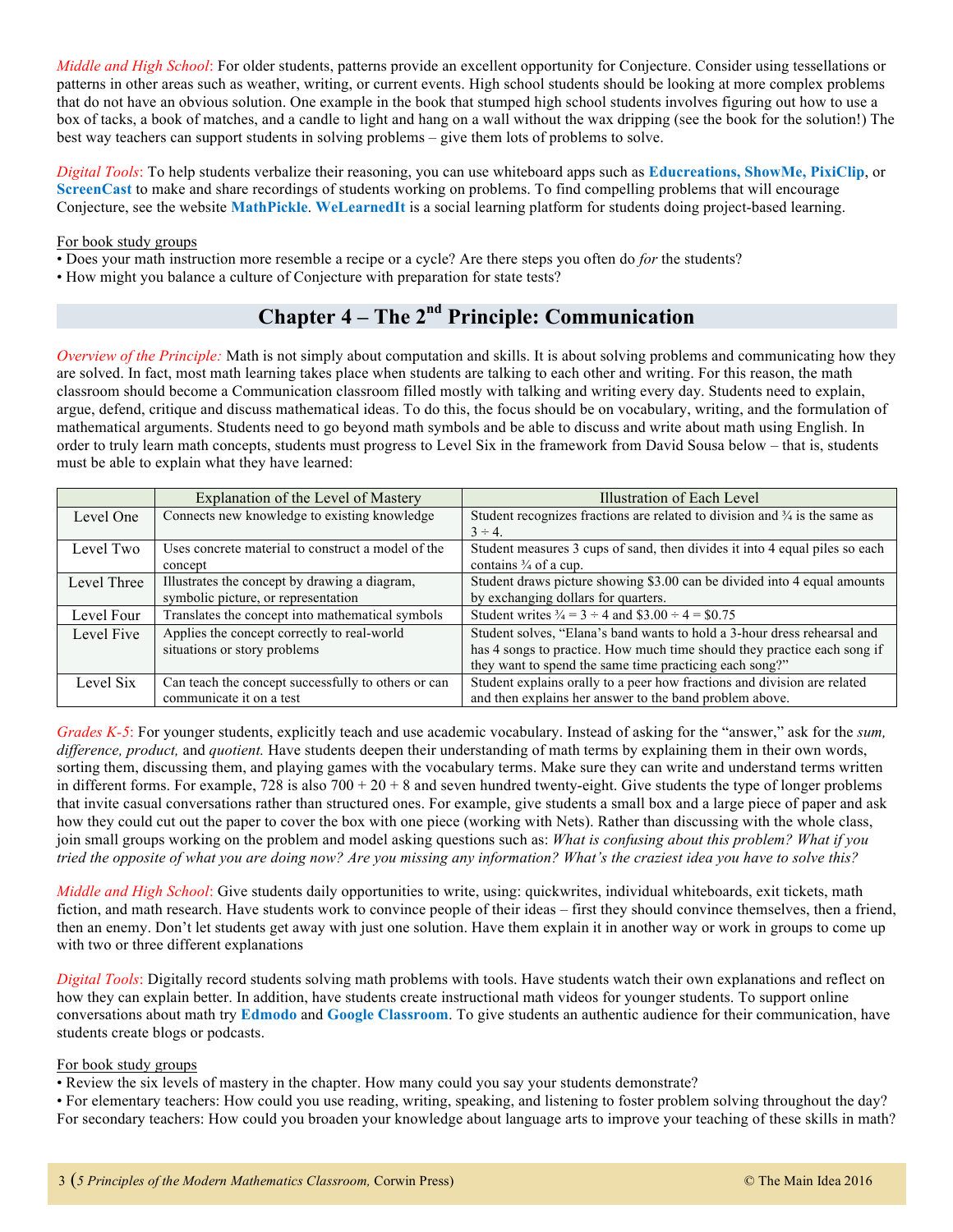*Middle and High School*: For older students, patterns provide an excellent opportunity for Conjecture. Consider using tessellations or patterns in other areas such as weather, writing, or current events. High school students should be looking at more complex problems that do not have an obvious solution. One example in the book that stumped high school students involves figuring out how to use a box of tacks, a book of matches, and a candle to light and hang on a wall without the wax dripping (see the book for the solution!) The best way teachers can support students in solving problems – give them lots of problems to solve.

*Digital Tools*: To help students verbalize their reasoning, you can use whiteboard apps such as **Educreations, ShowMe, PixiClip**, or **ScreenCast** to make and share recordings of students working on problems. To find compelling problems that will encourage Conjecture, see the website **MathPickle**. **WeLearnedIt** is a social learning platform for students doing project-based learning.

#### For book study groups

- Does your math instruction more resemble a recipe or a cycle? Are there steps you often do *for* the students?
- How might you balance a culture of Conjecture with preparation for state tests?

# **Chapter 4 – The 2nd Principle: Communication**

*Overview of the Principle:* Math is not simply about computation and skills. It is about solving problems and communicating how they are solved. In fact, most math learning takes place when students are talking to each other and writing. For this reason, the math classroom should become a Communication classroom filled mostly with talking and writing every day. Students need to explain, argue, defend, critique and discuss mathematical ideas. To do this, the focus should be on vocabulary, writing, and the formulation of mathematical arguments. Students need to go beyond math symbols and be able to discuss and write about math using English. In order to truly learn math concepts, students must progress to Level Six in the framework from David Sousa below – that is, students must be able to explain what they have learned:

|             | Explanation of the Level of Mastery                 | Illustration of Each Level                                                            |
|-------------|-----------------------------------------------------|---------------------------------------------------------------------------------------|
| Level One   | Connects new knowledge to existing knowledge        | Student recognizes fractions are related to division and $\frac{3}{4}$ is the same as |
|             |                                                     | $3 \div 4$                                                                            |
| Level Two   | Uses concrete material to construct a model of the  | Student measures 3 cups of sand, then divides it into 4 equal piles so each           |
|             | concept                                             | contains $\frac{3}{4}$ of a cup.                                                      |
| Level Three | Illustrates the concept by drawing a diagram,       | Student draws picture showing \$3.00 can be divided into 4 equal amounts              |
|             | symbolic picture, or representation                 | by exchanging dollars for quarters.                                                   |
| Level Four  | Translates the concept into mathematical symbols    | Student writes $\frac{3}{4} = 3 \div 4$ and $\$3.00 \div 4 = \$0.75$                  |
| Level Five  | Applies the concept correctly to real-world         | Student solves, "Elana's band wants to hold a 3-hour dress rehearsal and              |
|             | situations or story problems                        | has 4 songs to practice. How much time should they practice each song if              |
|             |                                                     | they want to spend the same time practicing each song?"                               |
| Level Six   | Can teach the concept successfully to others or can | Student explains orally to a peer how fractions and division are related              |
|             | communicate it on a test                            | and then explains her answer to the band problem above.                               |

*Grades K-5*: For younger students, explicitly teach and use academic vocabulary. Instead of asking for the "answer," ask for the *sum, difference, product,* and *quotient.* Have students deepen their understanding of math terms by explaining them in their own words, sorting them, discussing them, and playing games with the vocabulary terms. Make sure they can write and understand terms written in different forms. For example,  $728$  is also  $700 + 20 + 8$  and seven hundred twenty-eight. Give students the type of longer problems that invite casual conversations rather than structured ones. For example, give students a small box and a large piece of paper and ask how they could cut out the paper to cover the box with one piece (working with Nets). Rather than discussing with the whole class, join small groups working on the problem and model asking questions such as: *What is confusing about this problem? What if you tried the opposite of what you are doing now? Are you missing any information? What's the craziest idea you have to solve this?*

*Middle and High School*: Give students daily opportunities to write, using: quickwrites, individual whiteboards, exit tickets, math fiction, and math research. Have students work to convince people of their ideas – first they should convince themselves, then a friend, then an enemy. Don't let students get away with just one solution. Have them explain it in another way or work in groups to come up with two or three different explanations

*Digital Tools*: Digitally record students solving math problems with tools. Have students watch their own explanations and reflect on how they can explain better. In addition, have students create instructional math videos for younger students. To support online conversations about math try **Edmodo** and **Google Classroom**. To give students an authentic audience for their communication, have students create blogs or podcasts.

#### For book study groups

• Review the six levels of mastery in the chapter. How many could you say your students demonstrate?

• For elementary teachers: How could you use reading, writing, speaking, and listening to foster problem solving throughout the day? For secondary teachers: How could you broaden your knowledge about language arts to improve your teaching of these skills in math?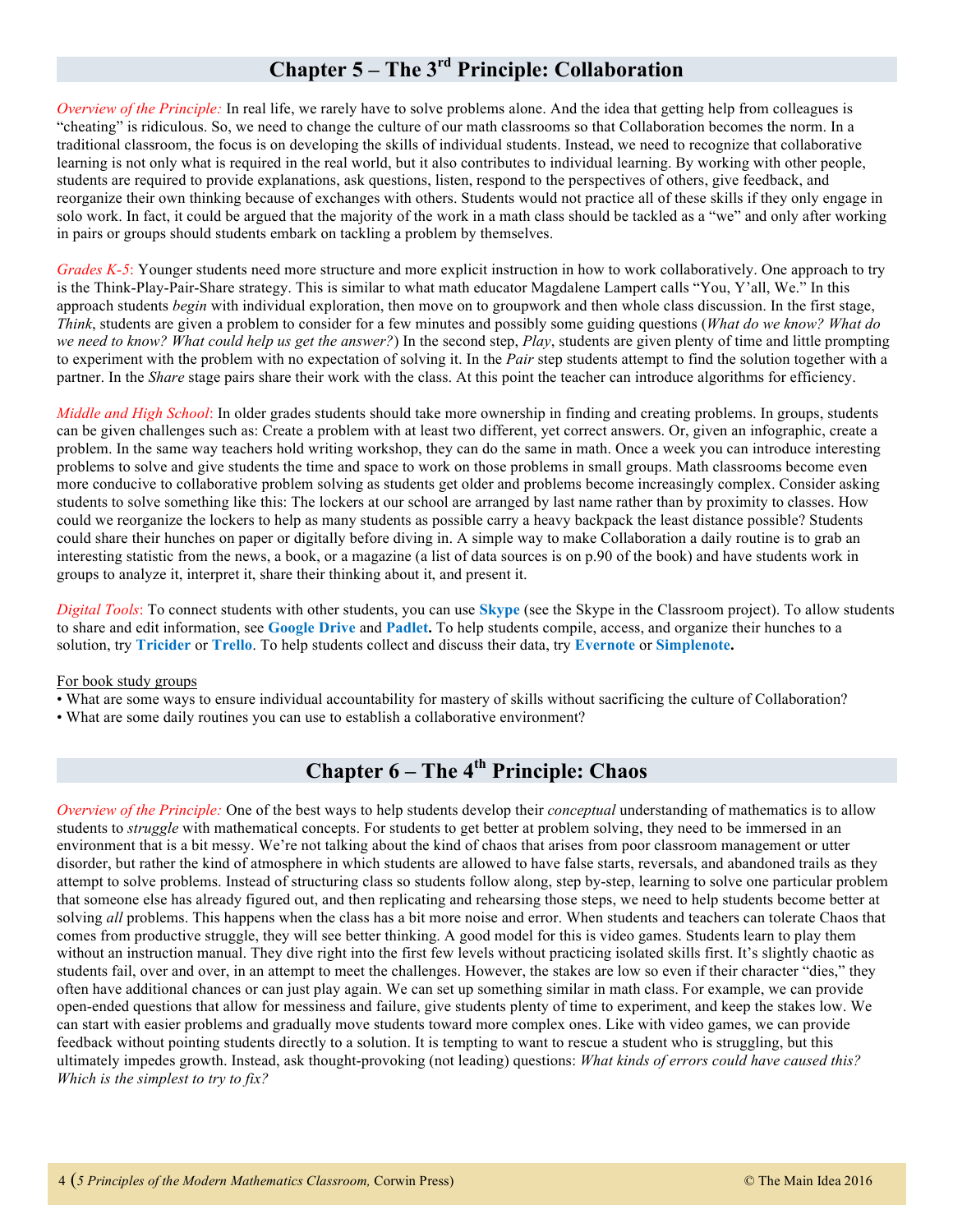# **Chapter 5 – The 3rd Principle: Collaboration**

*Overview of the Principle:* In real life, we rarely have to solve problems alone. And the idea that getting help from colleagues is "cheating" is ridiculous. So, we need to change the culture of our math classrooms so that Collaboration becomes the norm. In a traditional classroom, the focus is on developing the skills of individual students. Instead, we need to recognize that collaborative learning is not only what is required in the real world, but it also contributes to individual learning. By working with other people, students are required to provide explanations, ask questions, listen, respond to the perspectives of others, give feedback, and reorganize their own thinking because of exchanges with others. Students would not practice all of these skills if they only engage in solo work. In fact, it could be argued that the majority of the work in a math class should be tackled as a "we" and only after working in pairs or groups should students embark on tackling a problem by themselves.

*Grades K-5*: Younger students need more structure and more explicit instruction in how to work collaboratively. One approach to try is the Think-Play-Pair-Share strategy. This is similar to what math educator Magdalene Lampert calls "You, Y'all, We." In this approach students *begin* with individual exploration, then move on to groupwork and then whole class discussion. In the first stage, *Think*, students are given a problem to consider for a few minutes and possibly some guiding questions (*What do we know? What do we need to know? What could help us get the answer?*) In the second step, *Play*, students are given plenty of time and little prompting to experiment with the problem with no expectation of solving it. In the *Pair* step students attempt to find the solution together with a partner. In the *Share* stage pairs share their work with the class. At this point the teacher can introduce algorithms for efficiency.

*Middle and High School*: In older grades students should take more ownership in finding and creating problems. In groups, students can be given challenges such as: Create a problem with at least two different, yet correct answers. Or, given an infographic, create a problem. In the same way teachers hold writing workshop, they can do the same in math. Once a week you can introduce interesting problems to solve and give students the time and space to work on those problems in small groups. Math classrooms become even more conducive to collaborative problem solving as students get older and problems become increasingly complex. Consider asking students to solve something like this: The lockers at our school are arranged by last name rather than by proximity to classes. How could we reorganize the lockers to help as many students as possible carry a heavy backpack the least distance possible? Students could share their hunches on paper or digitally before diving in. A simple way to make Collaboration a daily routine is to grab an interesting statistic from the news, a book, or a magazine (a list of data sources is on p.90 of the book) and have students work in groups to analyze it, interpret it, share their thinking about it, and present it.

*Digital Tools*: To connect students with other students, you can use **Skype** (see the Skype in the Classroom project). To allow students to share and edit information, see **Google Drive** and **Padlet.** To help students compile, access, and organize their hunches to a solution, try **Tricider** or **Trello**. To help students collect and discuss their data, try **Evernote** or **Simplenote.**

#### For book study groups

• What are some ways to ensure individual accountability for mastery of skills without sacrificing the culture of Collaboration?

• What are some daily routines you can use to establish a collaborative environment?

# **Chapter 6 – The 4th Principle: Chaos**

*Overview of the Principle:* One of the best ways to help students develop their *conceptual* understanding of mathematics is to allow students to *struggle* with mathematical concepts. For students to get better at problem solving, they need to be immersed in an environment that is a bit messy. We're not talking about the kind of chaos that arises from poor classroom management or utter disorder, but rather the kind of atmosphere in which students are allowed to have false starts, reversals, and abandoned trails as they attempt to solve problems. Instead of structuring class so students follow along, step by-step, learning to solve one particular problem that someone else has already figured out, and then replicating and rehearsing those steps, we need to help students become better at solving *all* problems. This happens when the class has a bit more noise and error. When students and teachers can tolerate Chaos that comes from productive struggle, they will see better thinking. A good model for this is video games. Students learn to play them without an instruction manual. They dive right into the first few levels without practicing isolated skills first. It's slightly chaotic as students fail, over and over, in an attempt to meet the challenges. However, the stakes are low so even if their character "dies," they often have additional chances or can just play again. We can set up something similar in math class. For example, we can provide open-ended questions that allow for messiness and failure, give students plenty of time to experiment, and keep the stakes low. We can start with easier problems and gradually move students toward more complex ones. Like with video games, we can provide feedback without pointing students directly to a solution. It is tempting to want to rescue a student who is struggling, but this ultimately impedes growth. Instead, ask thought-provoking (not leading) questions: *What kinds of errors could have caused this? Which is the simplest to try to fix?*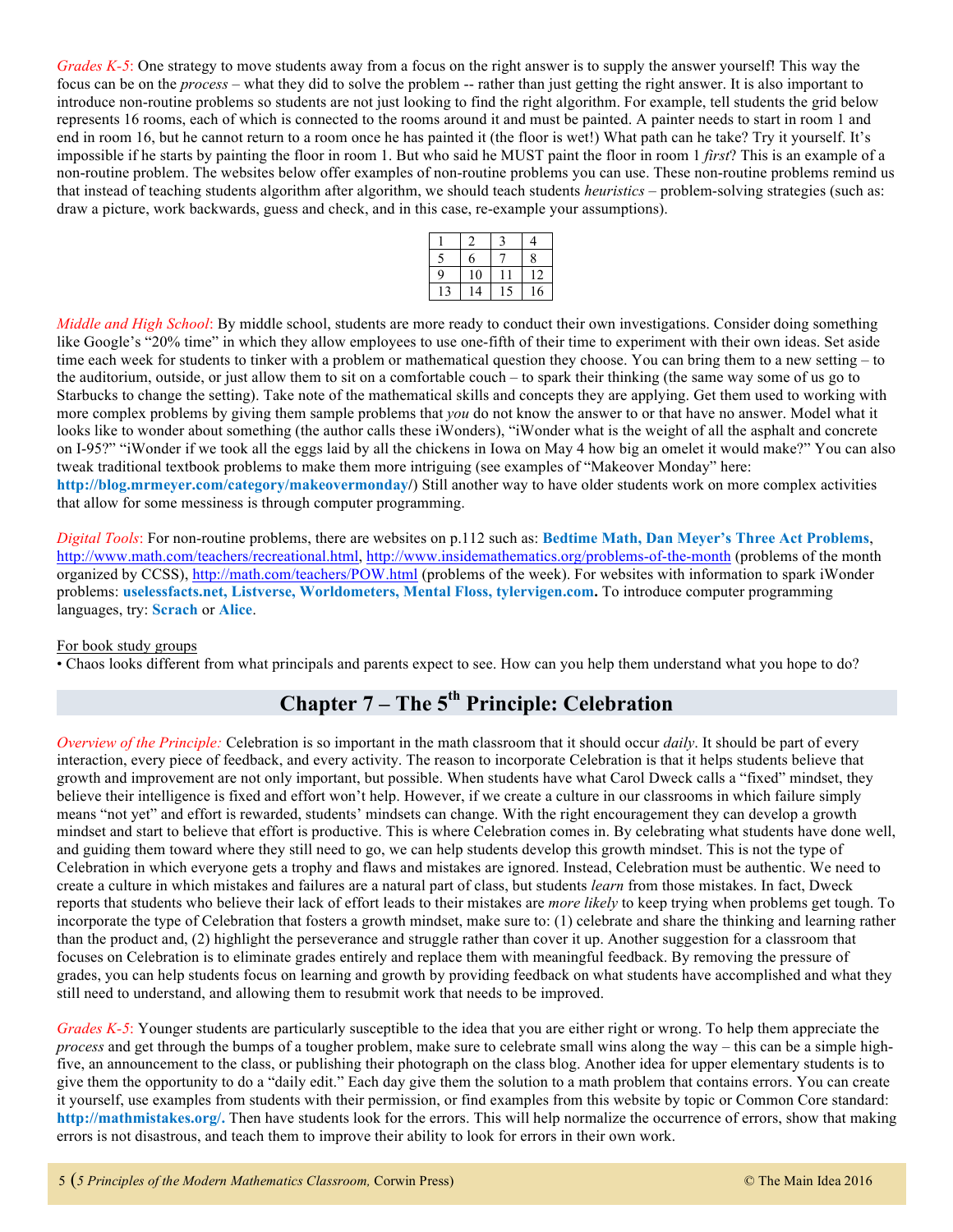*Grades K-5*: One strategy to move students away from a focus on the right answer is to supply the answer yourself! This way the focus can be on the *process* – what they did to solve the problem -- rather than just getting the right answer. It is also important to introduce non-routine problems so students are not just looking to find the right algorithm. For example, tell students the grid below represents 16 rooms, each of which is connected to the rooms around it and must be painted. A painter needs to start in room 1 and end in room 16, but he cannot return to a room once he has painted it (the floor is wet!) What path can he take? Try it yourself. It's impossible if he starts by painting the floor in room 1. But who said he MUST paint the floor in room 1 *first*? This is an example of a non-routine problem. The websites below offer examples of non-routine problems you can use. These non-routine problems remind us that instead of teaching students algorithm after algorithm, we should teach students *heuristics* – problem-solving strategies (such as: draw a picture, work backwards, guess and check, and in this case, re-example your assumptions).

|   |          |   | 4 |
|---|----------|---|---|
| - | 6        |   | 8 |
| q | $\Omega$ |   | 2 |
|   | Δ        | 5 | 6 |

*Middle and High School*: By middle school, students are more ready to conduct their own investigations. Consider doing something like Google's "20% time" in which they allow employees to use one-fifth of their time to experiment with their own ideas. Set aside time each week for students to tinker with a problem or mathematical question they choose. You can bring them to a new setting – to the auditorium, outside, or just allow them to sit on a comfortable couch – to spark their thinking (the same way some of us go to Starbucks to change the setting). Take note of the mathematical skills and concepts they are applying. Get them used to working with more complex problems by giving them sample problems that *you* do not know the answer to or that have no answer. Model what it looks like to wonder about something (the author calls these iWonders), "iWonder what is the weight of all the asphalt and concrete on I-95?" "iWonder if we took all the eggs laid by all the chickens in Iowa on May 4 how big an omelet it would make?" You can also tweak traditional textbook problems to make them more intriguing (see examples of "Makeover Monday" here: **http://blog.mrmeyer.com/category/makeovermonday/**) Still another way to have older students work on more complex activities that allow for some messiness is through computer programming.

#### *Digital Tools*: For non-routine problems, there are websites on p.112 such as: **Bedtime Math, Dan Meyer's Three Act Problems**, http://www.math.com/teachers/recreational.html, http://www.insidemathematics.org/problems-of-the-month (problems of the month organized by CCSS), http://math.com/teachers/POW.html (problems of the week). For websites with information to spark iWonder problems: **uselessfacts.net, Listverse, Worldometers, Mental Floss, tylervigen.com.** To introduce computer programming languages, try: **Scrach** or **Alice**.

#### For book study groups

• Chaos looks different from what principals and parents expect to see. How can you help them understand what you hope to do?

# **Chapter 7 – The 5th Principle: Celebration**

*Overview of the Principle:* Celebration is so important in the math classroom that it should occur *daily*. It should be part of every interaction, every piece of feedback, and every activity. The reason to incorporate Celebration is that it helps students believe that growth and improvement are not only important, but possible. When students have what Carol Dweck calls a "fixed" mindset, they believe their intelligence is fixed and effort won't help. However, if we create a culture in our classrooms in which failure simply means "not yet" and effort is rewarded, students' mindsets can change. With the right encouragement they can develop a growth mindset and start to believe that effort is productive. This is where Celebration comes in. By celebrating what students have done well, and guiding them toward where they still need to go, we can help students develop this growth mindset. This is not the type of Celebration in which everyone gets a trophy and flaws and mistakes are ignored. Instead, Celebration must be authentic. We need to create a culture in which mistakes and failures are a natural part of class, but students *learn* from those mistakes. In fact, Dweck reports that students who believe their lack of effort leads to their mistakes are *more likely* to keep trying when problems get tough. To incorporate the type of Celebration that fosters a growth mindset, make sure to: (1) celebrate and share the thinking and learning rather than the product and, (2) highlight the perseverance and struggle rather than cover it up. Another suggestion for a classroom that focuses on Celebration is to eliminate grades entirely and replace them with meaningful feedback. By removing the pressure of grades, you can help students focus on learning and growth by providing feedback on what students have accomplished and what they still need to understand, and allowing them to resubmit work that needs to be improved.

*Grades K-5*: Younger students are particularly susceptible to the idea that you are either right or wrong. To help them appreciate the *process* and get through the bumps of a tougher problem, make sure to celebrate small wins along the way – this can be a simple highfive, an announcement to the class, or publishing their photograph on the class blog. Another idea for upper elementary students is to give them the opportunity to do a "daily edit." Each day give them the solution to a math problem that contains errors. You can create it yourself, use examples from students with their permission, or find examples from this website by topic or Common Core standard: **http://mathmistakes.org/.** Then have students look for the errors. This will help normalize the occurrence of errors, show that making errors is not disastrous, and teach them to improve their ability to look for errors in their own work.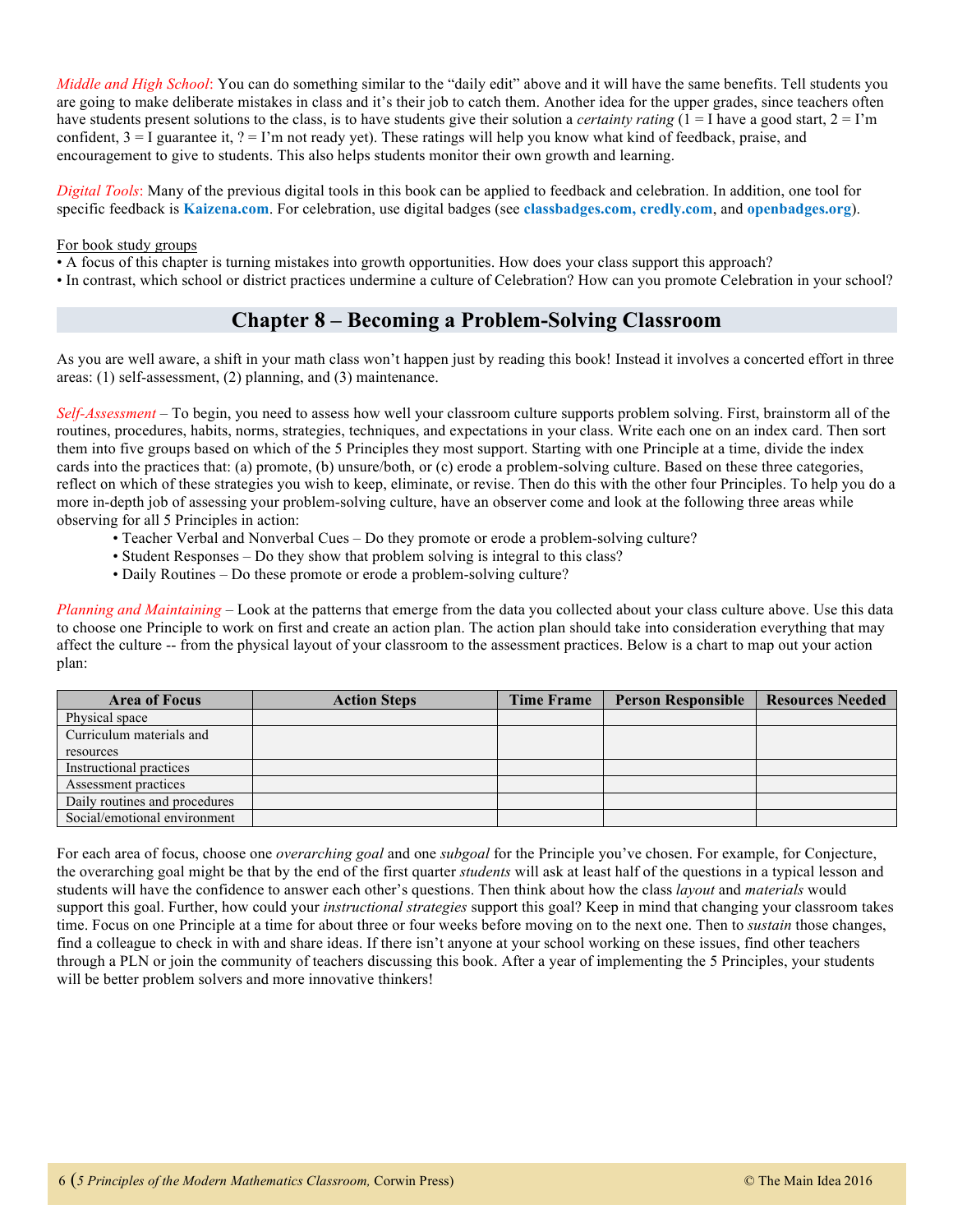*Middle and High School*: You can do something similar to the "daily edit" above and it will have the same benefits. Tell students you are going to make deliberate mistakes in class and it's their job to catch them. Another idea for the upper grades, since teachers often have students present solutions to the class, is to have students give their solution a *certainty rating*  $(1 = I)$  have a good start,  $2 = I'm$ confident,  $3 = I$  guarantee it,  $? = I'm$  not ready yet). These ratings will help you know what kind of feedback, praise, and encouragement to give to students. This also helps students monitor their own growth and learning.

*Digital Tools*: Many of the previous digital tools in this book can be applied to feedback and celebration. In addition, one tool for specific feedback is **Kaizena.com**. For celebration, use digital badges (see **classbadges.com, credly.com**, and **openbadges.org**).

#### For book study groups

• A focus of this chapter is turning mistakes into growth opportunities. How does your class support this approach?

• In contrast, which school or district practices undermine a culture of Celebration? How can you promote Celebration in your school?

# **Chapter 8 – Becoming a Problem-Solving Classroom**

As you are well aware, a shift in your math class won't happen just by reading this book! Instead it involves a concerted effort in three areas: (1) self-assessment, (2) planning, and (3) maintenance.

*Self-Assessment* – To begin, you need to assess how well your classroom culture supports problem solving. First, brainstorm all of the routines, procedures, habits, norms, strategies, techniques, and expectations in your class. Write each one on an index card. Then sort them into five groups based on which of the 5 Principles they most support. Starting with one Principle at a time, divide the index cards into the practices that: (a) promote, (b) unsure/both, or (c) erode a problem-solving culture. Based on these three categories, reflect on which of these strategies you wish to keep, eliminate, or revise. Then do this with the other four Principles. To help you do a more in-depth job of assessing your problem-solving culture, have an observer come and look at the following three areas while observing for all 5 Principles in action:

- Teacher Verbal and Nonverbal Cues Do they promote or erode a problem-solving culture?
- Student Responses Do they show that problem solving is integral to this class?
- Daily Routines Do these promote or erode a problem-solving culture?

*Planning and Maintaining* – Look at the patterns that emerge from the data you collected about your class culture above. Use this data to choose one Principle to work on first and create an action plan. The action plan should take into consideration everything that may affect the culture -- from the physical layout of your classroom to the assessment practices. Below is a chart to map out your action plan:

| <b>Area of Focus</b>          | <b>Action Steps</b> | <b>Time Frame</b> | <b>Person Responsible</b> | <b>Resources Needed</b> |
|-------------------------------|---------------------|-------------------|---------------------------|-------------------------|
| Physical space                |                     |                   |                           |                         |
| Curriculum materials and      |                     |                   |                           |                         |
| resources                     |                     |                   |                           |                         |
| Instructional practices       |                     |                   |                           |                         |
| Assessment practices          |                     |                   |                           |                         |
| Daily routines and procedures |                     |                   |                           |                         |
| Social/emotional environment  |                     |                   |                           |                         |

For each area of focus, choose one *overarching goal* and one *subgoal* for the Principle you've chosen. For example, for Conjecture, the overarching goal might be that by the end of the first quarter *students* will ask at least half of the questions in a typical lesson and students will have the confidence to answer each other's questions. Then think about how the class *layout* and *materials* would support this goal. Further, how could your *instructional strategies* support this goal? Keep in mind that changing your classroom takes time. Focus on one Principle at a time for about three or four weeks before moving on to the next one. Then to *sustain* those changes, find a colleague to check in with and share ideas. If there isn't anyone at your school working on these issues, find other teachers through a PLN or join the community of teachers discussing this book. After a year of implementing the 5 Principles, your students will be better problem solvers and more innovative thinkers!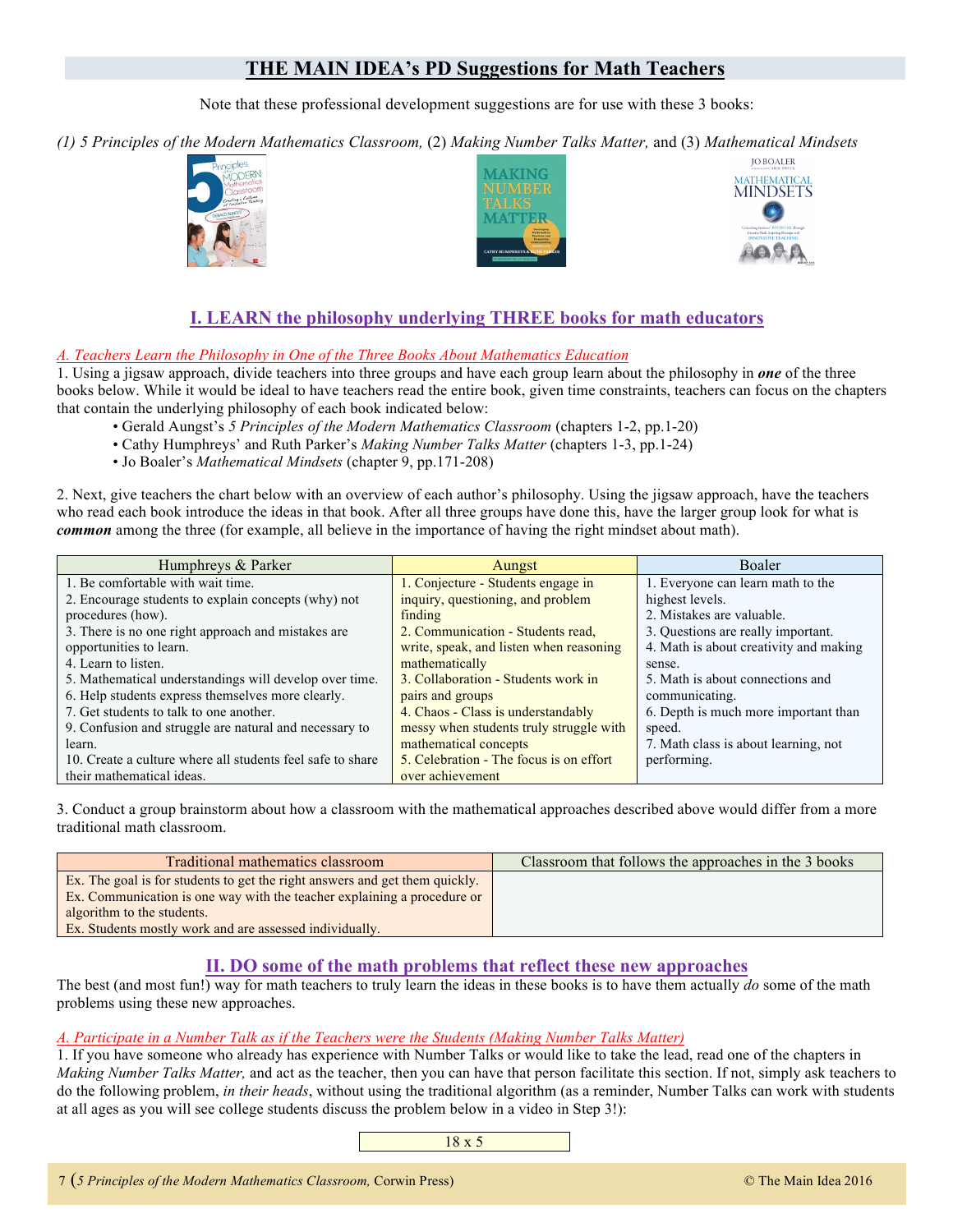# **THE MAIN IDEA's PD Suggestions for Math Teachers**

Note that these professional development suggestions are for use with these 3 books:

*(1) 5 Principles of the Modern Mathematics Classroom,* (2) *Making Number Talks Matter,* and (3) *Mathematical Mindsets*







# **I. LEARN the philosophy underlying THREE books for math educators**

#### *A. Teachers Learn the Philosophy in One of the Three Books About Mathematics Education*

1. Using a jigsaw approach, divide teachers into three groups and have each group learn about the philosophy in *one* of the three books below. While it would be ideal to have teachers read the entire book, given time constraints, teachers can focus on the chapters that contain the underlying philosophy of each book indicated below:

- Gerald Aungst's *5 Principles of the Modern Mathematics Classroom* (chapters 1-2, pp.1-20)
- Cathy Humphreys' and Ruth Parker's *Making Number Talks Matter* (chapters 1-3, pp.1-24)
- Jo Boaler's *Mathematical Mindsets* (chapter 9, pp.171-208)

2. Next, give teachers the chart below with an overview of each author's philosophy. Using the jigsaw approach, have the teachers who read each book introduce the ideas in that book. After all three groups have done this, have the larger group look for what is *common* among the three (for example, all believe in the importance of having the right mindset about math).

| Humphreys & Parker                                         | Aungst                                  | <b>Boaler</b>                          |
|------------------------------------------------------------|-----------------------------------------|----------------------------------------|
| 1. Be comfortable with wait time.                          | 1. Conjecture - Students engage in      | 1. Everyone can learn math to the      |
| 2. Encourage students to explain concepts (why) not        | inquiry, questioning, and problem       | highest levels.                        |
| procedures (how).                                          | finding                                 | 2. Mistakes are valuable.              |
| 3. There is no one right approach and mistakes are         | 2. Communication - Students read,       | 3. Questions are really important.     |
| opportunities to learn.                                    | write, speak, and listen when reasoning | 4. Math is about creativity and making |
| 4. Learn to listen.                                        | mathematically                          | sense.                                 |
| 5. Mathematical understandings will develop over time.     | 3. Collaboration - Students work in     | 5. Math is about connections and       |
| 6. Help students express themselves more clearly.          | pairs and groups                        | communicating.                         |
| 7. Get students to talk to one another.                    | 4. Chaos - Class is understandably      | 6. Depth is much more important than   |
| 9. Confusion and struggle are natural and necessary to     | messy when students truly struggle with | speed.                                 |
| learn.                                                     | mathematical concepts                   | 7. Math class is about learning, not   |
| 10. Create a culture where all students feel safe to share | 5. Celebration - The focus is on effort | performing.                            |
| their mathematical ideas.                                  | over achievement                        |                                        |

3. Conduct a group brainstorm about how a classroom with the mathematical approaches described above would differ from a more traditional math classroom.

| Traditional mathematics classroom                                                                                                                                                    | Classroom that follows the approaches in the 3 books |
|--------------------------------------------------------------------------------------------------------------------------------------------------------------------------------------|------------------------------------------------------|
| Ex. The goal is for students to get the right answers and get them quickly.<br>Ex. Communication is one way with the teacher explaining a procedure or<br>algorithm to the students. |                                                      |
| Ex. Students mostly work and are assessed individually.                                                                                                                              |                                                      |

### **II. DO some of the math problems that reflect these new approaches**

The best (and most fun!) way for math teachers to truly learn the ideas in these books is to have them actually *do* some of the math problems using these new approaches.

#### *A. Participate in a Number Talk as if the Teachers were the Students (Making Number Talks Matter)*

1. If you have someone who already has experience with Number Talks or would like to take the lead, read one of the chapters in *Making Number Talks Matter,* and act as the teacher, then you can have that person facilitate this section. If not, simply ask teachers to do the following problem, *in their heads*, without using the traditional algorithm (as a reminder, Number Talks can work with students at all ages as you will see college students discuss the problem below in a video in Step 3!):

18 x 5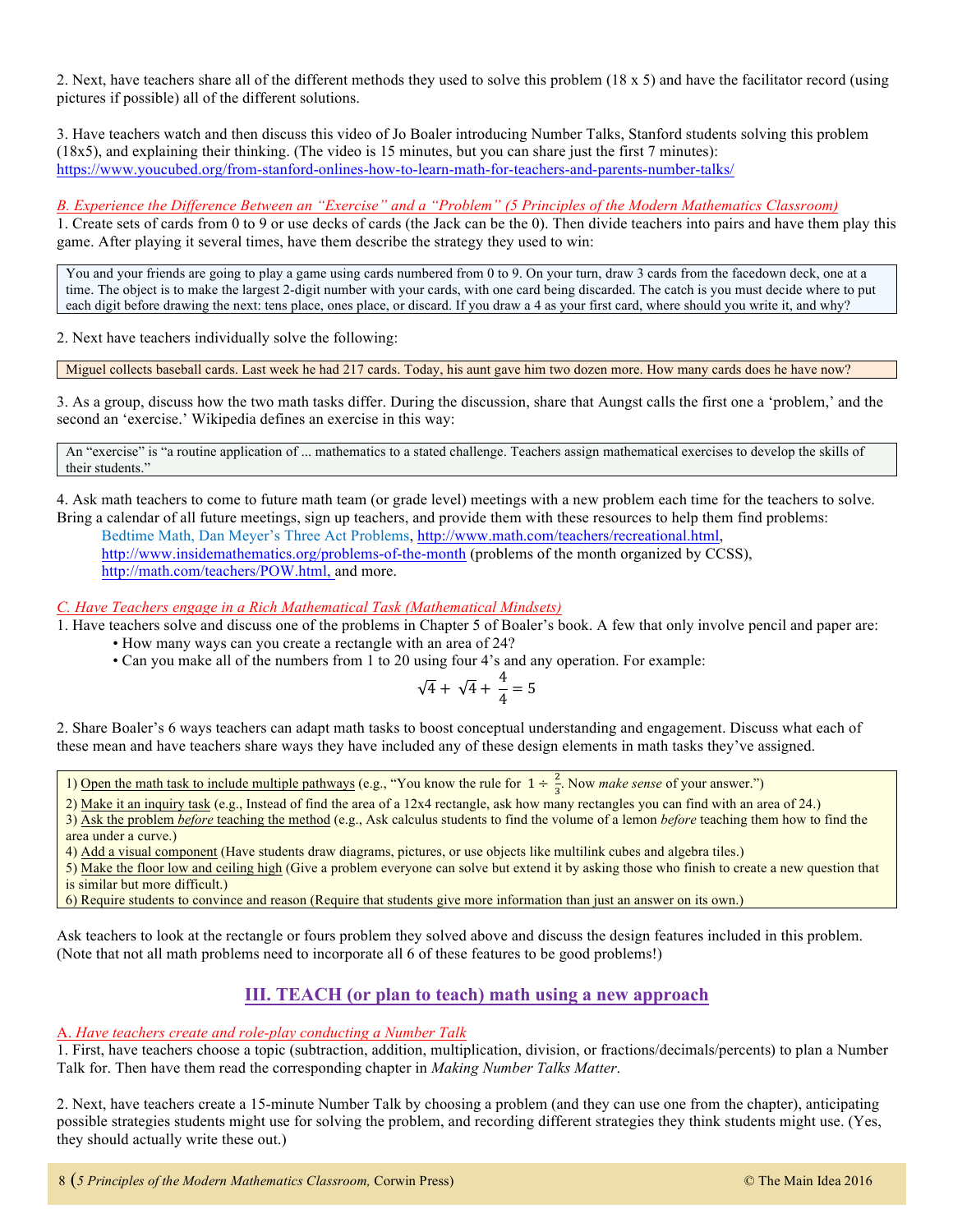2. Next, have teachers share all of the different methods they used to solve this problem (18 x 5) and have the facilitator record (using pictures if possible) all of the different solutions.

3. Have teachers watch and then discuss this video of Jo Boaler introducing Number Talks, Stanford students solving this problem (18x5), and explaining their thinking. (The video is 15 minutes, but you can share just the first 7 minutes): https://www.youcubed.org/from-stanford-onlines-how-to-learn-math-for-teachers-and-parents-number-talks/

*B. Experience the Difference Between an "Exercise" and a "Problem" (5 Principles of the Modern Mathematics Classroom)*

1. Create sets of cards from 0 to 9 or use decks of cards (the Jack can be the 0). Then divide teachers into pairs and have them play this game. After playing it several times, have them describe the strategy they used to win:

You and your friends are going to play a game using cards numbered from 0 to 9. On your turn, draw 3 cards from the facedown deck, one at a time. The object is to make the largest 2-digit number with your cards, with one card being discarded. The catch is you must decide where to put each digit before drawing the next: tens place, ones place, or discard. If you draw a 4 as your first card, where should you write it, and why?

2. Next have teachers individually solve the following:

Miguel collects baseball cards. Last week he had 217 cards. Today, his aunt gave him two dozen more. How many cards does he have now?

3. As a group, discuss how the two math tasks differ. During the discussion, share that Aungst calls the first one a 'problem,' and the second an 'exercise.' Wikipedia defines an exercise in this way:

An "exercise" is "a routine application of ... mathematics to a stated challenge. Teachers assign mathematical exercises to develop the skills of their students."

4. Ask math teachers to come to future math team (or grade level) meetings with a new problem each time for the teachers to solve. Bring a calendar of all future meetings, sign up teachers, and provide them with these resources to help them find problems:

Bedtime Math, Dan Meyer's Three Act Problems, http://www.math.com/teachers/recreational.html, http://www.insidemathematics.org/problems-of-the-month (problems of the month organized by CCSS), http://math.com/teachers/POW.html, and more.

*C. Have Teachers engage in a Rich Mathematical Task (Mathematical Mindsets)*

1. Have teachers solve and discuss one of the problems in Chapter 5 of Boaler's book. A few that only involve pencil and paper are:

- How many ways can you create a rectangle with an area of 24?
- Can you make all of the numbers from 1 to 20 using four 4's and any operation. For example:

$$
\sqrt{4} + \sqrt{4} + \frac{4}{4} = 5
$$

2. Share Boaler's 6 ways teachers can adapt math tasks to boost conceptual understanding and engagement. Discuss what each of these mean and have teachers share ways they have included any of these design elements in math tasks they've assigned.

1) Open the math task to include multiple pathways (e.g., "You know the rule for  $1 \div \frac{2}{3}$ . Now *make sense* of your answer.")

2) Make it an inquiry task (e.g., Instead of find the area of a 12x4 rectangle, ask how many rectangles you can find with an area of 24.)

3) Ask the problem *before* teaching the method (e.g., Ask calculus students to find the volume of a lemon *before* teaching them how to find the area under a curve.)

4) Add a visual component (Have students draw diagrams, pictures, or use objects like multilink cubes and algebra tiles.)

5) Make the floor low and ceiling high (Give a problem everyone can solve but extend it by asking those who finish to create a new question that is similar but more difficult.)

6) Require students to convince and reason (Require that students give more information than just an answer on its own.)

Ask teachers to look at the rectangle or fours problem they solved above and discuss the design features included in this problem. (Note that not all math problems need to incorporate all 6 of these features to be good problems!)

### **III. TEACH (or plan to teach) math using a new approach**

#### A. *Have teachers create and role-play conducting a Number Talk*

1. First, have teachers choose a topic (subtraction, addition, multiplication, division, or fractions/decimals/percents) to plan a Number Talk for. Then have them read the corresponding chapter in *Making Number Talks Matter*.

2. Next, have teachers create a 15-minute Number Talk by choosing a problem (and they can use one from the chapter), anticipating possible strategies students might use for solving the problem, and recording different strategies they think students might use. (Yes, they should actually write these out.)